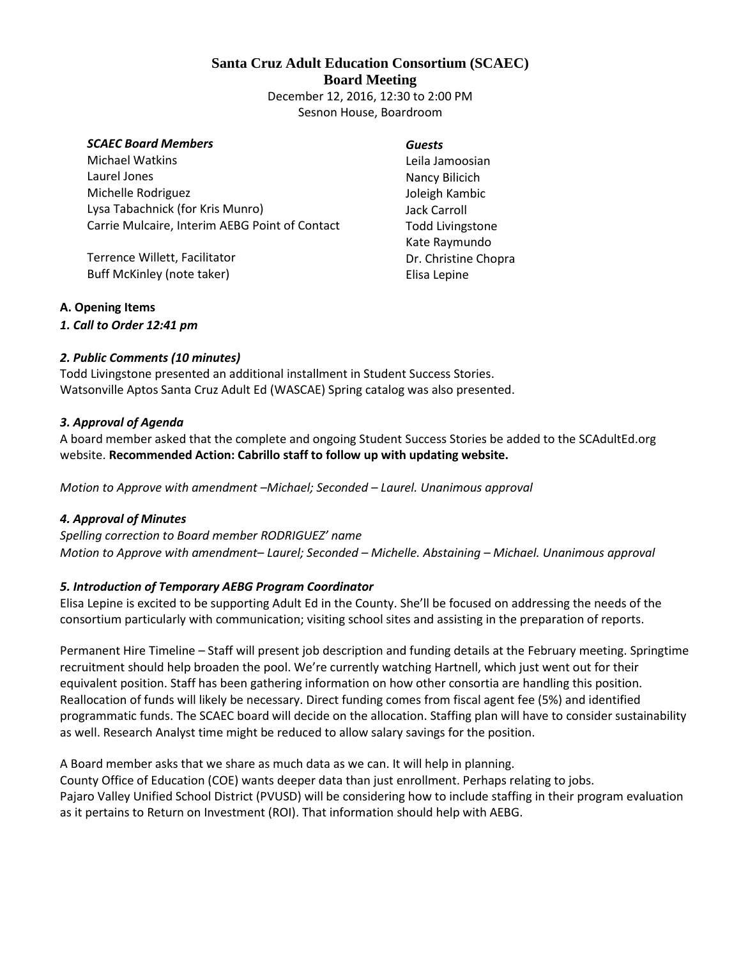# **Santa Cruz Adult Education Consortium (SCAEC) Board Meeting** December 12, 2016, 12:30 to 2:00 PM

Sesnon House, Boardroom

#### *SCAEC Board Members*

Michael Watkins Laurel Jones Michelle Rodriguez Lysa Tabachnick (for Kris Munro) Carrie Mulcaire, Interim AEBG Point of Contact

Terrence Willett, Facilitator Buff McKinley (note taker)

#### *Guests*

Leila Jamoosian Nancy Bilicich Joleigh Kambic Jack Carroll Todd Livingstone Kate Raymundo Dr. Christine Chopra Elisa Lepine

### **A. Opening Items**

*1. Call to Order 12:41 pm*

#### *2. Public Comments (10 minutes)*

Todd Livingstone presented an additional installment in Student Success Stories. Watsonville Aptos Santa Cruz Adult Ed (WASCAE) Spring catalog was also presented.

#### *3. Approval of Agenda*

A board member asked that the complete and ongoing Student Success Stories be added to the SCAdultEd.org website. **Recommended Action: Cabrillo staff to follow up with updating website.** 

*Motion to Approve with amendment –Michael; Seconded – Laurel. Unanimous approval*

#### *4. Approval of Minutes*

*Spelling correction to Board member RODRIGUEZ' name Motion to Approve with amendment– Laurel; Seconded – Michelle. Abstaining – Michael. Unanimous approval*

### *5. Introduction of Temporary AEBG Program Coordinator*

Elisa Lepine is excited to be supporting Adult Ed in the County. She'll be focused on addressing the needs of the consortium particularly with communication; visiting school sites and assisting in the preparation of reports.

Permanent Hire Timeline – Staff will present job description and funding details at the February meeting. Springtime recruitment should help broaden the pool. We're currently watching Hartnell, which just went out for their equivalent position. Staff has been gathering information on how other consortia are handling this position. Reallocation of funds will likely be necessary. Direct funding comes from fiscal agent fee (5%) and identified programmatic funds. The SCAEC board will decide on the allocation. Staffing plan will have to consider sustainability as well. Research Analyst time might be reduced to allow salary savings for the position.

A Board member asks that we share as much data as we can. It will help in planning. County Office of Education (COE) wants deeper data than just enrollment. Perhaps relating to jobs. Pajaro Valley Unified School District (PVUSD) will be considering how to include staffing in their program evaluation as it pertains to Return on Investment (ROI). That information should help with AEBG.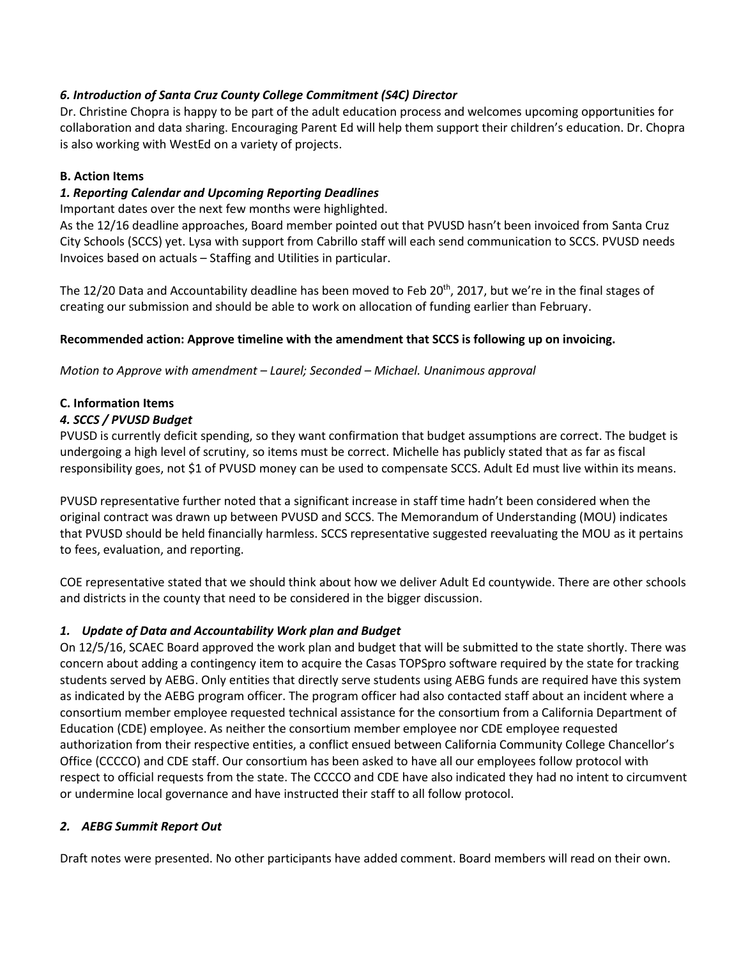### *6. Introduction of Santa Cruz County College Commitment (S4C) Director*

Dr. Christine Chopra is happy to be part of the adult education process and welcomes upcoming opportunities for collaboration and data sharing. Encouraging Parent Ed will help them support their children's education. Dr. Chopra is also working with WestEd on a variety of projects.

### **B. Action Items**

### *1. Reporting Calendar and Upcoming Reporting Deadlines*

Important dates over the next few months were highlighted.

As the 12/16 deadline approaches, Board member pointed out that PVUSD hasn't been invoiced from Santa Cruz City Schools (SCCS) yet. Lysa with support from Cabrillo staff will each send communication to SCCS. PVUSD needs Invoices based on actuals – Staffing and Utilities in particular.

The 12/20 Data and Accountability deadline has been moved to Feb 20<sup>th</sup>, 2017, but we're in the final stages of creating our submission and should be able to work on allocation of funding earlier than February.

### **Recommended action: Approve timeline with the amendment that SCCS is following up on invoicing.**

*Motion to Approve with amendment – Laurel; Seconded – Michael. Unanimous approval*

### **C. Information Items**

### *4. SCCS / PVUSD Budget*

PVUSD is currently deficit spending, so they want confirmation that budget assumptions are correct. The budget is undergoing a high level of scrutiny, so items must be correct. Michelle has publicly stated that as far as fiscal responsibility goes, not \$1 of PVUSD money can be used to compensate SCCS. Adult Ed must live within its means.

PVUSD representative further noted that a significant increase in staff time hadn't been considered when the original contract was drawn up between PVUSD and SCCS. The Memorandum of Understanding (MOU) indicates that PVUSD should be held financially harmless. SCCS representative suggested reevaluating the MOU as it pertains to fees, evaluation, and reporting.

COE representative stated that we should think about how we deliver Adult Ed countywide. There are other schools and districts in the county that need to be considered in the bigger discussion.

### *1. Update of Data and Accountability Work plan and Budget*

On 12/5/16, SCAEC Board approved the work plan and budget that will be submitted to the state shortly. There was concern about adding a contingency item to acquire the Casas TOPSpro software required by the state for tracking students served by AEBG. Only entities that directly serve students using AEBG funds are required have this system as indicated by the AEBG program officer. The program officer had also contacted staff about an incident where a consortium member employee requested technical assistance for the consortium from a California Department of Education (CDE) employee. As neither the consortium member employee nor CDE employee requested authorization from their respective entities, a conflict ensued between California Community College Chancellor's Office (CCCCO) and CDE staff. Our consortium has been asked to have all our employees follow protocol with respect to official requests from the state. The CCCCO and CDE have also indicated they had no intent to circumvent or undermine local governance and have instructed their staff to all follow protocol.

### *2. AEBG Summit Report Out*

Draft notes were presented. No other participants have added comment. Board members will read on their own.